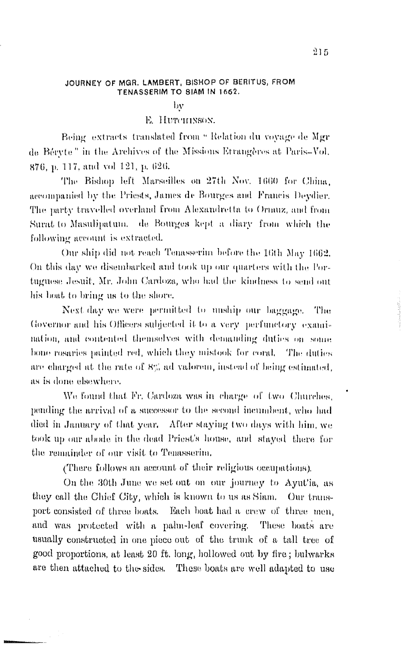### JOURNEY OF MGR. LAMBERT, BISHOP OF BERITUS, FROM TENASSERIM TO SIAM IN 1662.

by

## E. HUTCHINSON.

Being extracts translated from " Relation du voyage de Mgr de Béryte" in the Archives of the Missions Etrangères at Paris-Vol. 876, p. 117, and vol 121, p. 626.

The Bishop left Marseilles on 27th Nov. 1660 for China. accompanied by the Priests, James de Bourges and Francis Deydier. The party travelled overland from Alexandretta to Ormuz, and from Surat to Masulipatum. de Bourges kept a diary from which the following account is extracted.

Our ship did not reach Tenasserim before the 16th May 1662. On this day we disembarked and took up our quarters with the Portuguese Jesuit, Mr. John Cardoza, who had the kindness to send out his boat to bring us to the shore.

Next day we were permitted to unship our baggage. The Governor and his Officers subjected it to a very perfunctory examination, and contented themselves with demanding duties on some bone rosaries painted red, which they mistook for coral. The duties are charged at the rate of  $8\%$  ad valorem, instead of being estimated, as is done elsewhere.

We found that Fr. Cardoza was in charge of two Churches. pending the arrival of a successor to the second incumbent, who had died in January of that year. After staying two days with him, we took up our abode in the dead Priest's house, and stayed there for the remainder of our visit to Temasserim.

(There follows an account of their religious occupations).

On the 30th June we set out on our journey to Ayut'ia, as they call the Chief City, which is known to us as Siam. Our transport consisted of three boats. Each boat had a crew of three men, and was protected with a palm-leaf covering. These boats are usually constructed in one piece out of the trunk of a tall tree of good proportions, at least 20 ft. long, hollowed out by fire; bulwarks are then attached to the sides. These boats are well adapted to use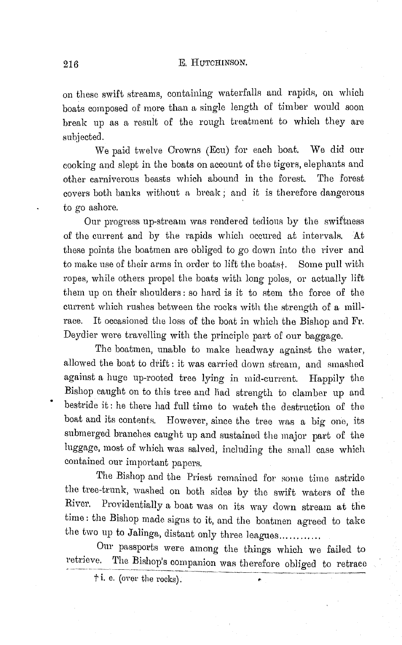### 216 E. HUTCHINSON.

on these swift streams, containing waterfalls and rapids, on which boats composed of more than a single length or timber would soon break up as a resuit of the rough treatment to which they are subjected.

We paid twelve Crowns (Ecu) for each boat. We did our cooking and slept in the boats on account of the tigers, elephants and other carniverous beasts which abound in the forest. The forest covers both banks without a break ; and it is therefore dangerous to go ashore.

Our progress up-stream was rendered tedious by the swiftness of the current and by the rapids which occured at intervals. At these points the boatmen are obliged to go down into the river and to make use of their arms in order to lift the boats+. Some pull with ropes, while others propel the boats with long poles, or actually lift them up on their shoulders: so hard is it to stem the force of the current which rushes between the rocks with the strength of a millrace. It occasioned the loss of the boat in which the Bishop and Fr. Deydier were travelling with the principle part of our baggage.

The boatmen, unable to make headway against the water, allowed the boat to drift: it was carried down stream, and smashed against a huge up-rooted tree lying in mid-current. Happily the Bishop caught on to this tree and liad strength to clamber up and bestride it: he there had full time to watch the destruction of the boat and its contents. However, since the tree was a big one, its submerged branches caught up and sustained the major part of the luggage, most of which was salved, including the small case which contained our important papers.

The Bishop and the Priest remained for some time astride the tree-trunk, washed on both sides by the swift waters of the River. Providentially a boat was on its way clown stream at the time : the Bishop made signs to it, and the boatmen agreed to take the two up to Jalinga, distant only three leagues............

Our passports were among the things which we failed to retrieve. The Bishop's companion was therefore obliged to retrace  $\dagger$  i. e. (over the rocks).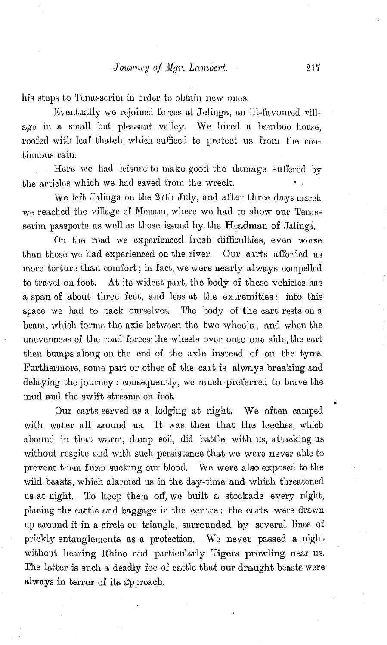# *Journey of Mgr. Lambert.* 217

his steps to Tenasserim in order to obtain new ones.

Eventually we rejoined forces at Jelinga, an ill-favoured village in a small but pleasant valley. We hired a bamboo house, roofed with leaf-thatch, which sufficed to protect us from the continuous rain.

Here we had leisure to make good the damage suffered by the articles which we had saved from the wreck.

We left Jalinga on the 27th July, and after three days march we reached the village of Menam, where we had to show our Tenasserim passports as well as those issued by the Headman of Jalinga.

On the road we experienced fresh difficulties, even worse than those we had experienced on the river. Our carts afforded us more torture than comfort; in fact, we were nearly always compelled to travel on foot. At its widest part, the body of these vehicles has a span of about three feet, and less at the extremities: into this space we had to pack ourselves. The body of the cart rests on a beam, which forms the axle between the two wheels; and when the unevenness of the road forces the wheels over onto one side, the cart then bumps along on the end of the axle instead of on the tyres. Furthermore, some part or other of the cart is always breaking and delaying the joumey: consequently, we much preferred to brave the mud and the swift streams on foot.

Our carts served as a lodging at night. We often camped with water all around us. It was then that the leeches, which abound in that warm, damp soil, did battle with us, attacking us without respite and with such persistence that we were never able to prevent them from sucking our blood. We were also exposed to the wild beasts, which alarmed us in the day-time and which threatened us at night. To keep them off, we built a stockade every night, placing the cattle and baggage in the centre : the carts were drawn up around it in a circle or triangle, surrounded by several lines of prickly entanglements as a protection. We never passed a night without hearing Rhino and particularly Tigers prowling near us. The latter is such a deadly foe of cattle that our draught beasts were always in terror of its approach.